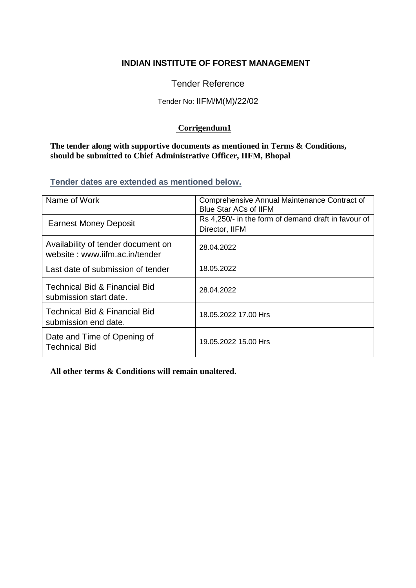# **INDIAN INSTITUTE OF FOREST MANAGEMENT**

Tender Reference

# Tender No: IIFM/M(M)/22/02

## **Corrigendum1**

**The tender along with supportive documents as mentioned in Terms & Conditions, should be submitted to Chief Administrative Officer, IIFM, Bhopal**

**Tender dates are extended as mentioned below.**

| Name of Work                                                         | Comprehensive Annual Maintenance Contract of<br><b>Blue Star ACs of IIFM</b> |
|----------------------------------------------------------------------|------------------------------------------------------------------------------|
| <b>Earnest Money Deposit</b>                                         | Rs 4,250/- in the form of demand draft in favour of<br>Director, IIFM        |
| Availability of tender document on<br>website: www.iifm.ac.in/tender | 28.04.2022                                                                   |
| Last date of submission of tender                                    | 18.05.2022                                                                   |
| <b>Technical Bid &amp; Financial Bid</b><br>submission start date.   | 28.04.2022                                                                   |
| <b>Technical Bid &amp; Financial Bid</b><br>submission end date.     | 18.05.2022 17.00 Hrs                                                         |
| Date and Time of Opening of<br><b>Technical Bid</b>                  | 19.05.2022 15.00 Hrs                                                         |

**All other terms & Conditions will remain unaltered.**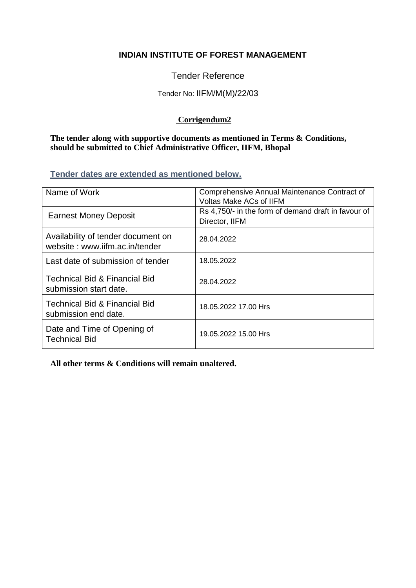# **INDIAN INSTITUTE OF FOREST MANAGEMENT**

Tender Reference

#### Tender No: IIFM/M(M)/22/03

## **Corrigendum2**

**The tender along with supportive documents as mentioned in Terms & Conditions, should be submitted to Chief Administrative Officer, IIFM, Bhopal**

**Tender dates are extended as mentioned below.**

| Name of Work                                                         | Comprehensive Annual Maintenance Contract of<br><b>Voltas Make ACs of IIFM</b> |
|----------------------------------------------------------------------|--------------------------------------------------------------------------------|
| <b>Earnest Money Deposit</b>                                         | Rs 4,750/- in the form of demand draft in favour of<br>Director, IIFM          |
| Availability of tender document on<br>website: www.iifm.ac.in/tender | 28.04.2022                                                                     |
| Last date of submission of tender                                    | 18.05.2022                                                                     |
| <b>Technical Bid &amp; Financial Bid</b><br>submission start date.   | 28.04.2022                                                                     |
| <b>Technical Bid &amp; Financial Bid</b><br>submission end date.     | 18.05.2022 17.00 Hrs                                                           |
| Date and Time of Opening of<br><b>Technical Bid</b>                  | 19.05.2022 15.00 Hrs                                                           |

**All other terms & Conditions will remain unaltered.**